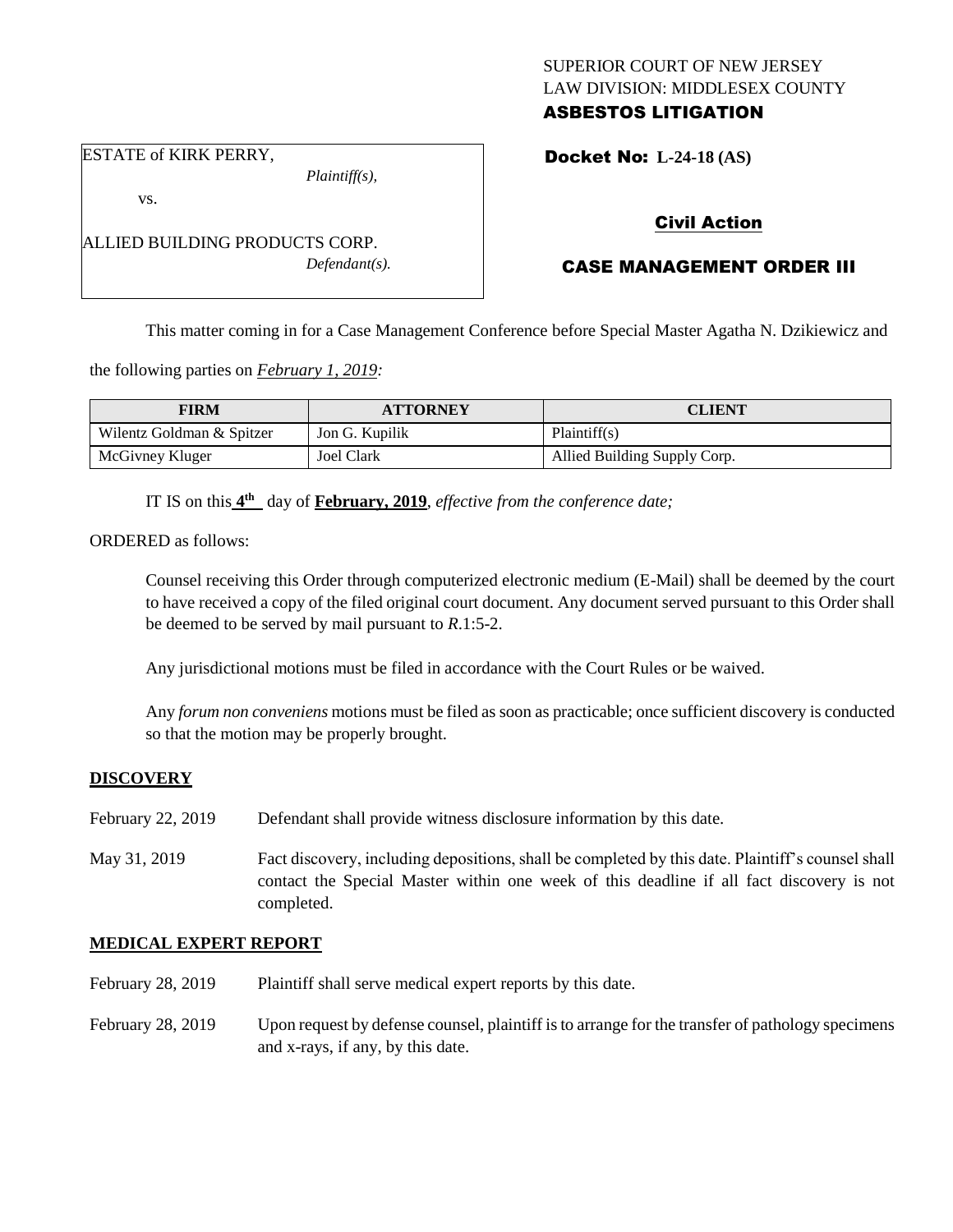## SUPERIOR COURT OF NEW JERSEY LAW DIVISION: MIDDLESEX COUNTY ASBESTOS LITIGATION

ESTATE of KIRK PERRY,

vs.

*Plaintiff(s),*

Docket No: **L-24-18 (AS)** 

## Civil Action

# CASE MANAGEMENT ORDER III

This matter coming in for a Case Management Conference before Special Master Agatha N. Dzikiewicz and

the following parties on *February 1, 2019:*

| <b>FIRM</b>               | <b>ATTORNEY</b> | CLIENT                       |
|---------------------------|-----------------|------------------------------|
| Wilentz Goldman & Spitzer | Jon G. Kupilik  | Plaintiff(s)                 |
| McGivney Kluger           | Joel Clark      | Allied Building Supply Corp. |

IT IS on this  $4^{\text{th}}$  day of **February, 2019**, *effective from the conference date*;

ORDERED as follows:

Counsel receiving this Order through computerized electronic medium (E-Mail) shall be deemed by the court to have received a copy of the filed original court document. Any document served pursuant to this Order shall be deemed to be served by mail pursuant to *R*.1:5-2.

Any jurisdictional motions must be filed in accordance with the Court Rules or be waived.

Any *forum non conveniens* motions must be filed as soon as practicable; once sufficient discovery is conducted so that the motion may be properly brought.

### **DISCOVERY**

- February 22, 2019 Defendant shall provide witness disclosure information by this date.
- May 31, 2019 Fact discovery, including depositions, shall be completed by this date. Plaintiff's counsel shall contact the Special Master within one week of this deadline if all fact discovery is not completed.

### **MEDICAL EXPERT REPORT**

- February 28, 2019 Plaintiff shall serve medical expert reports by this date.
- February 28, 2019 Upon request by defense counsel, plaintiff is to arrange for the transfer of pathology specimens and x-rays, if any, by this date.

ALLIED BUILDING PRODUCTS CORP. *Defendant(s).*